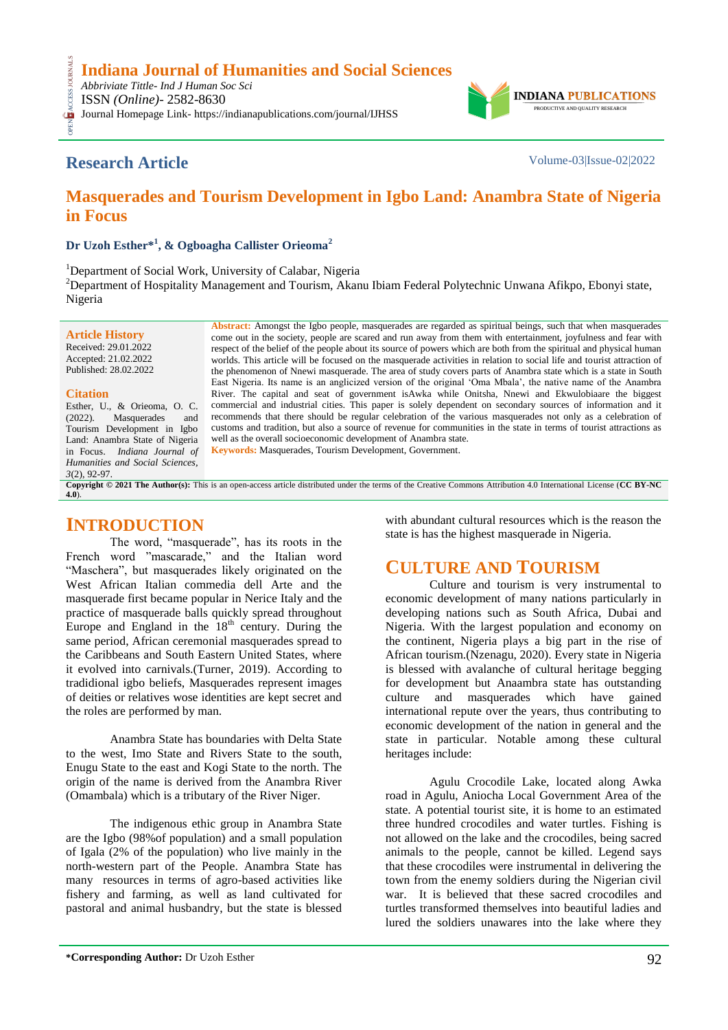**Indiana Journal of Humanities and Social Sciences**

*Abbriviate Tittle- Ind J Human Soc Sci* CESS.

ISSN *(Online)*- 2582-8630

OPEN ACCESS JOURNALS Journal Homepage Link- https://indianapublications.com/journal/IJHSS



## **Research Article** Volume-03|Issue-02|2022

## **Masquerades and Tourism Development in Igbo Land: Anambra State of Nigeria in Focus**

**Dr Uzoh Esther\*<sup>1</sup> , & Ogboagha Callister Orieoma<sup>2</sup>**

<sup>1</sup>Department of Social Work, University of Calabar, Nigeria <sup>2</sup>Department of Hospitality Management and Tourism, Akanu Ibiam Federal Polytechnic Unwana Afikpo, Ebonyi state, Nigeria

**Article History** Received: 29.01.2022 Accepted: 21.02.2022 Published: 28.02.2022

#### **Citation**

Esther, U., & Orieoma, O. C. (2022). Masquerades and Tourism Development in Igbo Land: Anambra State of Nigeria in Focus. *Indiana Journal of Humanities and Social Sciences, 3*(2), 92-97.

**Abstract:** Amongst the Igbo people, masquerades are regarded as spiritual beings, such that when masquerades come out in the society, people are scared and run away from them with entertainment, joyfulness and fear with respect of the belief of the people about its source of powers which are both from the spiritual and physical human worlds. This article will be focused on the masquerade activities in relation to social life and tourist attraction of the phenomenon of Nnewi masquerade. The area of study covers parts of Anambra state which is a state in South East Nigeria. Its name is an anglicized version of the original "Oma Mbala", the native name of the Anambra River. The capital and seat of government isAwka while Onitsha, Nnewi and Ekwulobiaare the biggest commercial and industrial cities. This paper is solely dependent on secondary sources of information and it recommends that there should be regular celebration of the various masquerades not only as a celebration of customs and tradition, but also a source of revenue for communities in the state in terms of tourist attractions as well as the overall socioeconomic development of Anambra state*.* **Keywords:** Masquerades, Tourism Development, Government.

**Copyright © 2021 The Author(s):** This is an open-access article distributed under the terms of the Creative Commons Attribution 4.0 International License (**[CC BY-NC](https://creativecommons.org/licenses/by-nc/4.0/)  [4.0](https://creativecommons.org/licenses/by-nc/4.0/)**).

### **INTRODUCTION**

The word, "masquerade", has its roots in the French word "mascarade," and the Italian word "Maschera", but masquerades likely originated on the West African Italian commedia dell Arte and the masquerade first became popular in Nerice Italy and the practice of masquerade balls quickly spread throughout Europe and England in the  $18<sup>th</sup>$  century. During the same period, African ceremonial masquerades spread to the Caribbeans and South Eastern United States, where it evolved into carnivals.(Turner, 2019). According to tradidional igbo beliefs, Masquerades represent images of deities or relatives wose identities are kept secret and the roles are performed by man.

Anambra State has boundaries with Delta State to the west, Imo State and Rivers State to the south, Enugu State to the east and Kogi State to the north. The origin of the name is derived from the Anambra River (Omambala) which is a tributary of the River Niger.

The indigenous ethic group in Anambra State are the Igbo (98%of population) and a small population of Igala (2% of the population) who live mainly in the north-western part of the People. Anambra State has many resources in terms of agro-based activities like fishery and farming, as well as land cultivated for pastoral and animal husbandry, but the state is blessed

with abundant cultural resources which is the reason the state is has the highest masquerade in Nigeria.

## **CULTURE AND TOURISM**

Culture and tourism is very instrumental to economic development of many nations particularly in developing nations such as South Africa, Dubai and Nigeria. With the largest population and economy on the continent, Nigeria plays a big part in the rise of African tourism.(Nzenagu, 2020). Every state in Nigeria is blessed with avalanche of cultural heritage begging for development but Anaambra state has outstanding culture and masquerades which have gained international repute over the years, thus contributing to economic development of the nation in general and the state in particular. Notable among these cultural heritages include:

Agulu Crocodile Lake, located along Awka road in Agulu, Aniocha Local Government Area of the state. A potential tourist site, it is home to an estimated three hundred crocodiles and water turtles. Fishing is not allowed on the lake and the crocodiles, being sacred animals to the people, cannot be killed. Legend says that these crocodiles were instrumental in delivering the town from the enemy soldiers during the Nigerian civil war. It is believed that these sacred crocodiles and turtles transformed themselves into beautiful ladies and lured the soldiers unawares into the lake where they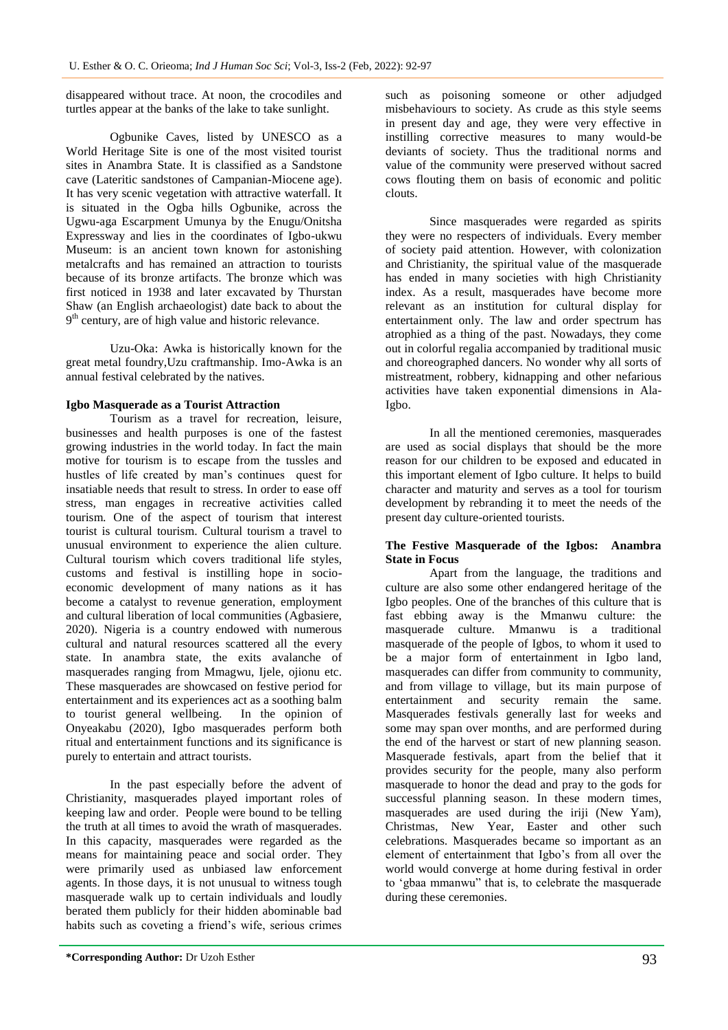disappeared without trace. At noon, the crocodiles and turtles appear at the banks of the lake to take sunlight.

Ogbunike Caves, listed by UNESCO as a World Heritage Site is one of the most visited tourist sites in Anambra State. It is classified as a Sandstone cave (Lateritic sandstones of Campanian-Miocene age). It has very scenic vegetation with attractive waterfall. It is situated in the Ogba hills Ogbunike, across the Ugwu-aga Escarpment Umunya by the Enugu/Onitsha Expressway and lies in the coordinates of Igbo-ukwu Museum: is an ancient town known for astonishing metalcrafts and has remained an attraction to tourists because of its bronze artifacts. The bronze which was first noticed in 1938 and later excavated by Thurstan Shaw (an English archaeologist) date back to about the 9<sup>th</sup> century, are of high value and historic relevance.

Uzu-Oka: Awka is historically known for the great metal foundry,Uzu craftmanship. Imo-Awka is an annual festival celebrated by the natives.

#### **Igbo Masquerade as a Tourist Attraction**

Tourism as a travel for recreation, leisure, businesses and health purposes is one of the fastest growing industries in the world today. In fact the main motive for tourism is to escape from the tussles and hustles of life created by man"s continues quest for insatiable needs that result to stress. In order to ease off stress, man engages in recreative activities called tourism. One of the aspect of tourism that interest tourist is cultural tourism. Cultural tourism a travel to unusual environment to experience the alien culture. Cultural tourism which covers traditional life styles, customs and festival is instilling hope in socioeconomic development of many nations as it has become a catalyst to revenue generation, employment and cultural liberation of local communities (Agbasiere, 2020). Nigeria is a country endowed with numerous cultural and natural resources scattered all the every state. In anambra state, the exits avalanche of masquerades ranging from Mmagwu, Ijele, ojionu etc. These masquerades are showcased on festive period for entertainment and its experiences act as a soothing balm to tourist general wellbeing. In the opinion of Onyeakabu (2020), Igbo masquerades perform both ritual and entertainment functions and its significance is purely to entertain and attract tourists.

In the past especially before the advent of Christianity, masquerades played important roles of keeping law and order. People were bound to be telling the truth at all times to avoid the wrath of masquerades. In this capacity, masquerades were regarded as the means for maintaining peace and social order. They were primarily used as unbiased law enforcement agents. In those days, it is not unusual to witness tough masquerade walk up to certain individuals and loudly berated them publicly for their hidden abominable bad habits such as coveting a friend"s wife, serious crimes

such as poisoning someone or other adjudged misbehaviours to society. As crude as this style seems in present day and age, they were very effective in instilling corrective measures to many would-be deviants of society. Thus the traditional norms and value of the community were preserved without sacred cows flouting them on basis of economic and politic clouts.

Since masquerades were regarded as spirits they were no respecters of individuals. Every member of society paid attention. However, with colonization and Christianity, the spiritual value of the masquerade has ended in many societies with high Christianity index. As a result, masquerades have become more relevant as an institution for cultural display for entertainment only. The law and order spectrum has atrophied as a thing of the past. Nowadays, they come out in colorful regalia accompanied by traditional music and choreographed dancers. No wonder why all sorts of mistreatment, robbery, kidnapping and other nefarious activities have taken exponential dimensions in Ala-Igbo.

In all the mentioned ceremonies, masquerades are used as social displays that should be the more reason for our children to be exposed and educated in this important element of Igbo culture. It helps to build character and maturity and serves as a tool for tourism development by rebranding it to meet the needs of the present day culture-oriented tourists.

#### **The Festive Masquerade of the Igbos: Anambra State in Focus**

Apart from the language, the traditions and culture are also some other endangered heritage of the Igbo peoples. One of the branches of this culture that is fast ebbing away is the Mmanwu culture: the masquerade culture. Mmanwu is a traditional masquerade of the people of Igbos, to whom it used to be a major form of entertainment in Igbo land, masquerades can differ from community to community, and from village to village, but its main purpose of entertainment and security remain the same. Masquerades festivals generally last for weeks and some may span over months, and are performed during the end of the harvest or start of new planning season. Masquerade festivals, apart from the belief that it provides security for the people, many also perform masquerade to honor the dead and pray to the gods for successful planning season. In these modern times, masquerades are used during the iriji (New Yam), Christmas, New Year, Easter and other such celebrations. Masquerades became so important as an element of entertainment that Igbo"s from all over the world would converge at home during festival in order to "gbaa mmanwu" that is, to celebrate the masquerade during these ceremonies.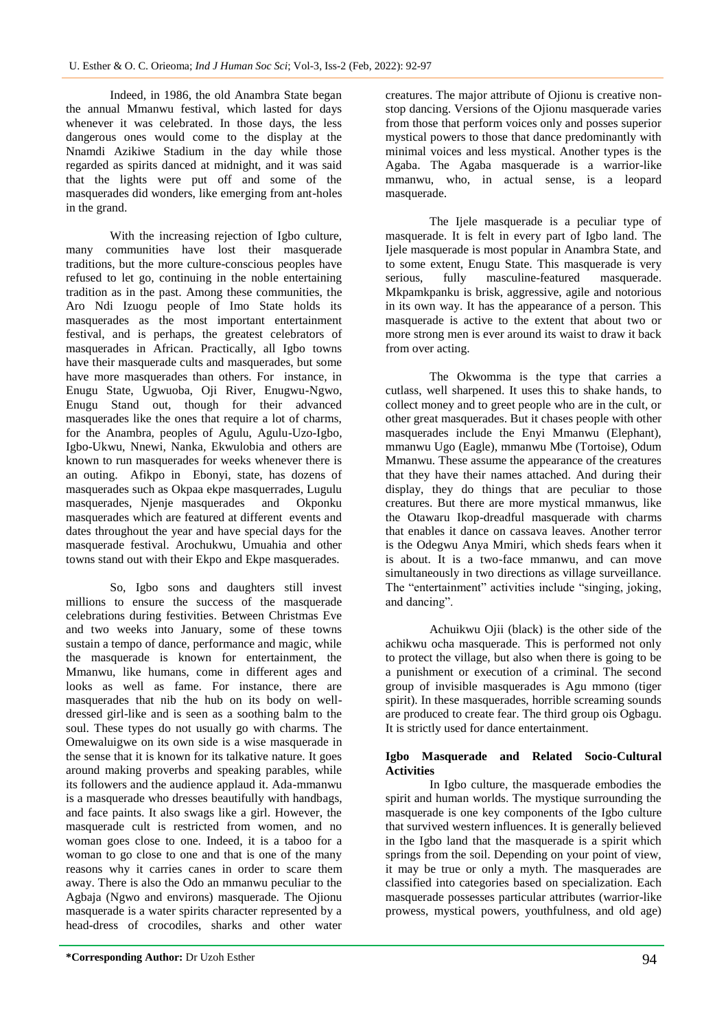Indeed, in 1986, the old Anambra State began the annual Mmanwu festival, which lasted for days whenever it was celebrated. In those days, the less dangerous ones would come to the display at the Nnamdi Azikiwe Stadium in the day while those regarded as spirits danced at midnight, and it was said that the lights were put off and some of the masquerades did wonders, like emerging from ant-holes in the grand.

With the increasing rejection of Igbo culture, many communities have lost their masquerade traditions, but the more culture-conscious peoples have refused to let go, continuing in the noble entertaining tradition as in the past. Among these communities, the Aro Ndi Izuogu people of Imo State holds its masquerades as the most important entertainment festival, and is perhaps, the greatest celebrators of masquerades in African. Practically, all Igbo towns have their masquerade cults and masquerades, but some have more masquerades than others. For instance, in Enugu State, Ugwuoba, Oji River, Enugwu-Ngwo, Enugu Stand out, though for their advanced masquerades like the ones that require a lot of charms, for the Anambra, peoples of Agulu, Agulu-Uzo-Igbo, Igbo-Ukwu, Nnewi, Nanka, Ekwulobia and others are known to run masquerades for weeks whenever there is an outing. Afikpo in Ebonyi, state, has dozens of masquerades such as Okpaa ekpe masquerrades, Lugulu masquerades, Njenje masquerades and Okponku masquerades which are featured at different events and dates throughout the year and have special days for the masquerade festival. Arochukwu, Umuahia and other towns stand out with their Ekpo and Ekpe masquerades.

So, Igbo sons and daughters still invest millions to ensure the success of the masquerade celebrations during festivities. Between Christmas Eve and two weeks into January, some of these towns sustain a tempo of dance, performance and magic, while the masquerade is known for entertainment, the Mmanwu, like humans, come in different ages and looks as well as fame. For instance, there are masquerades that nib the hub on its body on welldressed girl-like and is seen as a soothing balm to the soul. These types do not usually go with charms. The Omewaluigwe on its own side is a wise masquerade in the sense that it is known for its talkative nature. It goes around making proverbs and speaking parables, while its followers and the audience applaud it. Ada-mmanwu is a masquerade who dresses beautifully with handbags, and face paints. It also swags like a girl. However, the masquerade cult is restricted from women, and no woman goes close to one. Indeed, it is a taboo for a woman to go close to one and that is one of the many reasons why it carries canes in order to scare them away. There is also the Odo an mmanwu peculiar to the Agbaja (Ngwo and environs) masquerade. The Ojionu masquerade is a water spirits character represented by a head-dress of crocodiles, sharks and other water

creatures. The major attribute of Ojionu is creative nonstop dancing. Versions of the Ojionu masquerade varies from those that perform voices only and posses superior mystical powers to those that dance predominantly with minimal voices and less mystical. Another types is the Agaba. The Agaba masquerade is a warrior-like mmanwu, who, in actual sense, is a leopard masquerade.

The Ijele masquerade is a peculiar type of masquerade. It is felt in every part of Igbo land. The Ijele masquerade is most popular in Anambra State, and to some extent, Enugu State. This masquerade is very serious, fully masculine-featured masquerade. Mkpamkpanku is brisk, aggressive, agile and notorious in its own way. It has the appearance of a person. This masquerade is active to the extent that about two or more strong men is ever around its waist to draw it back from over acting.

The Okwomma is the type that carries a cutlass, well sharpened. It uses this to shake hands, to collect money and to greet people who are in the cult, or other great masquerades. But it chases people with other masquerades include the Enyi Mmanwu (Elephant), mmanwu Ugo (Eagle), mmanwu Mbe (Tortoise), Odum Mmanwu. These assume the appearance of the creatures that they have their names attached. And during their display, they do things that are peculiar to those creatures. But there are more mystical mmanwus, like the Otawaru Ikop-dreadful masquerade with charms that enables it dance on cassava leaves. Another terror is the Odegwu Anya Mmiri, which sheds fears when it is about. It is a two-face mmanwu, and can move simultaneously in two directions as village surveillance. The "entertainment" activities include "singing, joking, and dancing".

Achuikwu Ojii (black) is the other side of the achikwu ocha masquerade. This is performed not only to protect the village, but also when there is going to be a punishment or execution of a criminal. The second group of invisible masquerades is Agu mmono (tiger spirit). In these masquerades, horrible screaming sounds are produced to create fear. The third group ois Ogbagu. It is strictly used for dance entertainment.

#### **Igbo Masquerade and Related Socio-Cultural Activities**

In Igbo culture, the masquerade embodies the spirit and human worlds. The mystique surrounding the masquerade is one key components of the Igbo culture that survived western influences. It is generally believed in the Igbo land that the masquerade is a spirit which springs from the soil. Depending on your point of view, it may be true or only a myth. The masquerades are classified into categories based on specialization. Each masquerade possesses particular attributes (warrior-like prowess, mystical powers, youthfulness, and old age)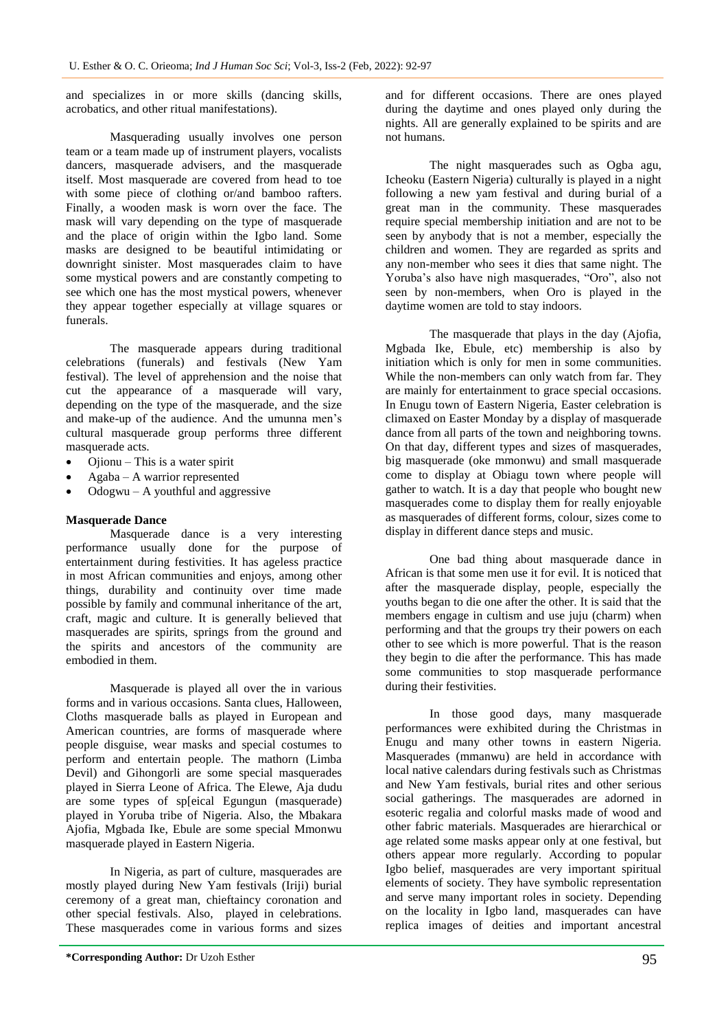and specializes in or more skills (dancing skills, acrobatics, and other ritual manifestations).

Masquerading usually involves one person team or a team made up of instrument players, vocalists dancers, masquerade advisers, and the masquerade itself. Most masquerade are covered from head to toe with some piece of clothing or/and bamboo rafters. Finally, a wooden mask is worn over the face. The mask will vary depending on the type of masquerade and the place of origin within the Igbo land. Some masks are designed to be beautiful intimidating or downright sinister. Most masquerades claim to have some mystical powers and are constantly competing to see which one has the most mystical powers, whenever they appear together especially at village squares or funerals.

The masquerade appears during traditional celebrations (funerals) and festivals (New Yam festival). The level of apprehension and the noise that cut the appearance of a masquerade will vary, depending on the type of the masquerade, and the size and make-up of the audience. And the umunna men"s cultural masquerade group performs three different masquerade acts.

- Ojionu This is a water spirit
- Agaba A warrior represented
- Odogwu  $A$  youthful and aggressive

#### **Masquerade Dance**

Masquerade dance is a very interesting performance usually done for the purpose of entertainment during festivities. It has ageless practice in most African communities and enjoys, among other things, durability and continuity over time made possible by family and communal inheritance of the art, craft, magic and culture. It is generally believed that masquerades are spirits, springs from the ground and the spirits and ancestors of the community are embodied in them.

Masquerade is played all over the in various forms and in various occasions. Santa clues, Halloween, Cloths masquerade balls as played in European and American countries, are forms of masquerade where people disguise, wear masks and special costumes to perform and entertain people. The mathorn (Limba Devil) and Gihongorli are some special masquerades played in Sierra Leone of Africa. The Elewe, Aja dudu are some types of sp[eical Egungun (masquerade) played in Yoruba tribe of Nigeria. Also, the Mbakara Ajofia, Mgbada Ike, Ebule are some special Mmonwu masquerade played in Eastern Nigeria.

In Nigeria, as part of culture, masquerades are mostly played during New Yam festivals (Iriji) burial ceremony of a great man, chieftaincy coronation and other special festivals. Also, played in celebrations. These masquerades come in various forms and sizes

and for different occasions. There are ones played during the daytime and ones played only during the nights. All are generally explained to be spirits and are not humans.

The night masquerades such as Ogba agu, Icheoku (Eastern Nigeria) culturally is played in a night following a new yam festival and during burial of a great man in the community. These masquerades require special membership initiation and are not to be seen by anybody that is not a member, especially the children and women. They are regarded as sprits and any non-member who sees it dies that same night. The Yoruba"s also have nigh masquerades, "Oro", also not seen by non-members, when Oro is played in the daytime women are told to stay indoors.

The masquerade that plays in the day (Ajofia, Mgbada Ike, Ebule, etc) membership is also by initiation which is only for men in some communities. While the non-members can only watch from far. They are mainly for entertainment to grace special occasions. In Enugu town of Eastern Nigeria, Easter celebration is climaxed on Easter Monday by a display of masquerade dance from all parts of the town and neighboring towns. On that day, different types and sizes of masquerades, big masquerade (oke mmonwu) and small masquerade come to display at Obiagu town where people will gather to watch. It is a day that people who bought new masquerades come to display them for really enjoyable as masquerades of different forms, colour, sizes come to display in different dance steps and music.

One bad thing about masquerade dance in African is that some men use it for evil. It is noticed that after the masquerade display, people, especially the youths began to die one after the other. It is said that the members engage in cultism and use juju (charm) when performing and that the groups try their powers on each other to see which is more powerful. That is the reason they begin to die after the performance. This has made some communities to stop masquerade performance during their festivities.

In those good days, many masquerade performances were exhibited during the Christmas in Enugu and many other towns in eastern Nigeria. Masquerades (mmanwu) are held in accordance with local native calendars during festivals such as Christmas and New Yam festivals, burial rites and other serious social gatherings. The masquerades are adorned in esoteric regalia and colorful masks made of wood and other fabric materials. Masquerades are hierarchical or age related some masks appear only at one festival, but others appear more regularly. According to popular Igbo belief, masquerades are very important spiritual elements of society. They have symbolic representation and serve many important roles in society. Depending on the locality in Igbo land, masquerades can have replica images of deities and important ancestral

**<sup>\*</sup>Corresponding Author:** Dr Uzoh Esther 95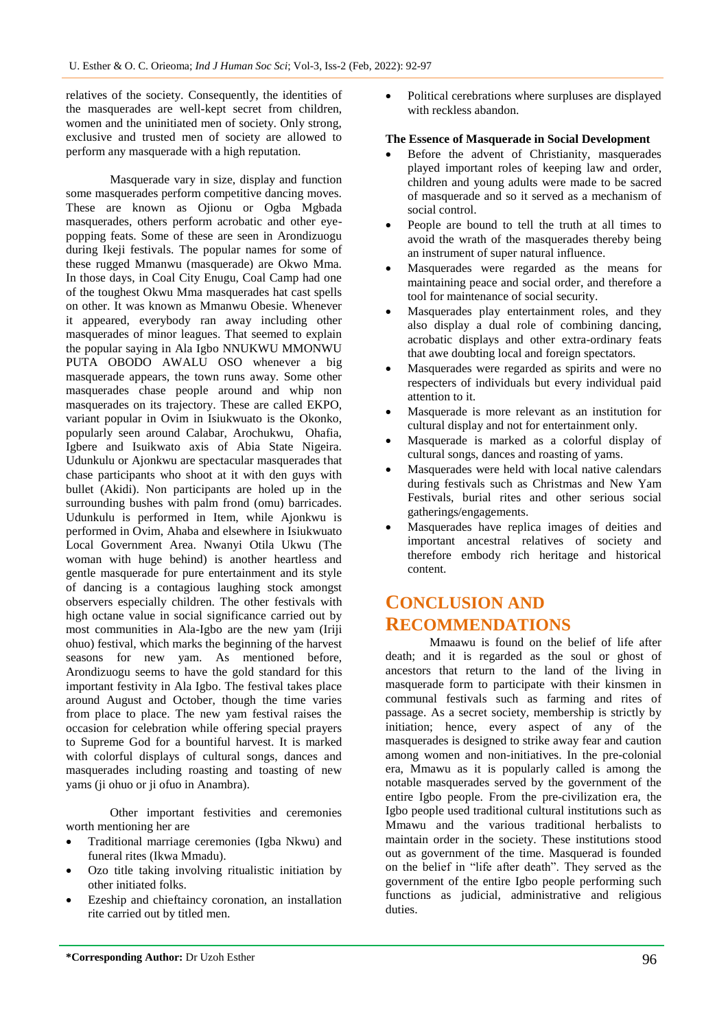relatives of the society. Consequently, the identities of the masquerades are well-kept secret from children, women and the uninitiated men of society. Only strong, exclusive and trusted men of society are allowed to perform any masquerade with a high reputation.

Masquerade vary in size, display and function some masquerades perform competitive dancing moves. These are known as Ojionu or Ogba Mgbada masquerades, others perform acrobatic and other eyepopping feats. Some of these are seen in Arondizuogu during Ikeji festivals. The popular names for some of these rugged Mmanwu (masquerade) are Okwo Mma. In those days, in Coal City Enugu, Coal Camp had one of the toughest Okwu Mma masquerades hat cast spells on other. It was known as Mmanwu Obesie. Whenever it appeared, everybody ran away including other masquerades of minor leagues. That seemed to explain the popular saying in Ala Igbo NNUKWU MMONWU PUTA OBODO AWALU OSO whenever a big masquerade appears, the town runs away. Some other masquerades chase people around and whip non masquerades on its trajectory. These are called EKPO, variant popular in Ovim in Isiukwuato is the Okonko, popularly seen around Calabar, Arochukwu, Ohafia, Igbere and Isuikwato axis of Abia State Nigeira. Udunkulu or Ajonkwu are spectacular masquerades that chase participants who shoot at it with den guys with bullet (Akidi). Non participants are holed up in the surrounding bushes with palm frond (omu) barricades. Udunkulu is performed in Item, while Ajonkwu is performed in Ovim, Ahaba and elsewhere in Isiukwuato Local Government Area. Nwanyi Otila Ukwu (The woman with huge behind) is another heartless and gentle masquerade for pure entertainment and its style of dancing is a contagious laughing stock amongst observers especially children. The other festivals with high octane value in social significance carried out by most communities in Ala-Igbo are the new yam (Iriji ohuo) festival, which marks the beginning of the harvest seasons for new yam. As mentioned before, Arondizuogu seems to have the gold standard for this important festivity in Ala Igbo. The festival takes place around August and October, though the time varies from place to place. The new yam festival raises the occasion for celebration while offering special prayers to Supreme God for a bountiful harvest. It is marked with colorful displays of cultural songs, dances and masquerades including roasting and toasting of new yams (ji ohuo or ji ofuo in Anambra).

Other important festivities and ceremonies worth mentioning her are

- Traditional marriage ceremonies (Igba Nkwu) and funeral rites (Ikwa Mmadu).
- Ozo title taking involving ritualistic initiation by other initiated folks.
- Ezeship and chieftaincy coronation, an installation rite carried out by titled men.

• Political cerebrations where surpluses are displayed with reckless abandon.

#### **The Essence of Masquerade in Social Development**

- Before the advent of Christianity, masquerades played important roles of keeping law and order, children and young adults were made to be sacred of masquerade and so it served as a mechanism of social control.
- People are bound to tell the truth at all times to avoid the wrath of the masquerades thereby being an instrument of super natural influence.
- Masquerades were regarded as the means for maintaining peace and social order, and therefore a tool for maintenance of social security.
- Masquerades play entertainment roles, and they also display a dual role of combining dancing, acrobatic displays and other extra-ordinary feats that awe doubting local and foreign spectators.
- Masquerades were regarded as spirits and were no respecters of individuals but every individual paid attention to it.
- Masquerade is more relevant as an institution for cultural display and not for entertainment only.
- Masquerade is marked as a colorful display of cultural songs, dances and roasting of yams.
- Masquerades were held with local native calendars during festivals such as Christmas and New Yam Festivals, burial rites and other serious social gatherings/engagements.
- Masquerades have replica images of deities and important ancestral relatives of society and therefore embody rich heritage and historical content.

# **CONCLUSION AND RECOMMENDATIONS**

Mmaawu is found on the belief of life after death; and it is regarded as the soul or ghost of ancestors that return to the land of the living in masquerade form to participate with their kinsmen in communal festivals such as farming and rites of passage. As a secret society, membership is strictly by initiation; hence, every aspect of any of the masquerades is designed to strike away fear and caution among women and non-initiatives. In the pre-colonial era, Mmawu as it is popularly called is among the notable masquerades served by the government of the entire Igbo people. From the pre-civilization era, the Igbo people used traditional cultural institutions such as Mmawu and the various traditional herbalists to maintain order in the society. These institutions stood out as government of the time. Masquerad is founded on the belief in "life after death". They served as the government of the entire Igbo people performing such functions as judicial, administrative and religious duties.